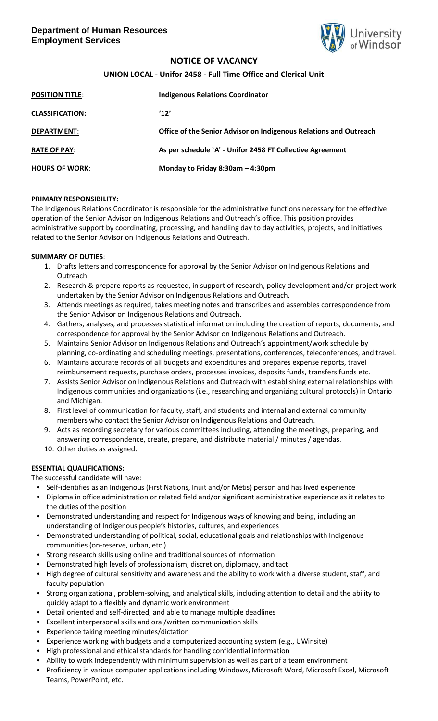

# **NOTICE OF VACANCY**

## **UNION LOCAL - Unifor 2458 - Full Time Office and Clerical Unit**

| <b>POSITION TITLE:</b> | <b>Indigenous Relations Coordinator</b>                           |
|------------------------|-------------------------------------------------------------------|
| <b>CLASSIFICATION:</b> | '12'                                                              |
| <b>DEPARTMENT:</b>     | Office of the Senior Advisor on Indigenous Relations and Outreach |
| <b>RATE OF PAY:</b>    | As per schedule `A' - Unifor 2458 FT Collective Agreement         |
| <b>HOURS OF WORK:</b>  | Monday to Friday 8:30am - 4:30pm                                  |

#### **PRIMARY RESPONSIBILITY:**

The Indigenous Relations Coordinator is responsible for the administrative functions necessary for the effective operation of the Senior Advisor on Indigenous Relations and Outreach's office. This position provides administrative support by coordinating, processing, and handling day to day activities, projects, and initiatives related to the Senior Advisor on Indigenous Relations and Outreach.

#### **SUMMARY OF DUTIES**:

- 1. Drafts letters and correspondence for approval by the Senior Advisor on Indigenous Relations and Outreach.
- 2. Research & prepare reports as requested, in support of research, policy development and/or project work undertaken by the Senior Advisor on Indigenous Relations and Outreach.
- 3. Attends meetings as required, takes meeting notes and transcribes and assembles correspondence from the Senior Advisor on Indigenous Relations and Outreach.
- 4. Gathers, analyses, and processes statistical information including the creation of reports, documents, and correspondence for approval by the Senior Advisor on Indigenous Relations and Outreach.
- 5. Maintains Senior Advisor on Indigenous Relations and Outreach's appointment/work schedule by planning, co-ordinating and scheduling meetings, presentations, conferences, teleconferences, and travel.
- 6. Maintains accurate records of all budgets and expenditures and prepares expense reports, travel reimbursement requests, purchase orders, processes invoices, deposits funds, transfers funds etc.
- 7. Assists Senior Advisor on Indigenous Relations and Outreach with establishing external relationships with Indigenous communities and organizations (i.e., researching and organizing cultural protocols) in Ontario and Michigan.
- 8. First level of communication for faculty, staff, and students and internal and external community members who contact the Senior Advisor on Indigenous Relations and Outreach.
- 9. Acts as recording secretary for various committees including, attending the meetings, preparing, and answering correspondence, create, prepare, and distribute material / minutes / agendas.
- 10. Other duties as assigned.

### **ESSENTIAL QUALIFICATIONS:**

The successful candidate will have:

- Self-identifies as an Indigenous (First Nations, Inuit and/or Métis) person and has lived experience
- Diploma in office administration or related field and/or significant administrative experience as it relates to the duties of the position
- Demonstrated understanding and respect for Indigenous ways of knowing and being, including an understanding of Indigenous people's histories, cultures, and experiences
- Demonstrated understanding of political, social, educational goals and relationships with Indigenous communities (on-reserve, urban, etc.)
- Strong research skills using online and traditional sources of information
- Demonstrated high levels of professionalism, discretion, diplomacy, and tact
- High degree of cultural sensitivity and awareness and the ability to work with a diverse student, staff, and faculty population
- Strong organizational, problem-solving, and analytical skills, including attention to detail and the ability to quickly adapt to a flexibly and dynamic work environment
- Detail oriented and self-directed, and able to manage multiple deadlines
- Excellent interpersonal skills and oral/written communication skills
- Experience taking meeting minutes/dictation
- Experience working with budgets and a computerized accounting system (e.g., UWinsite)
- High professional and ethical standards for handling confidential information
- Ability to work independently with minimum supervision as well as part of a team environment
- Proficiency in various computer applications including Windows, Microsoft Word, Microsoft Excel, Microsoft Teams, PowerPoint, etc.